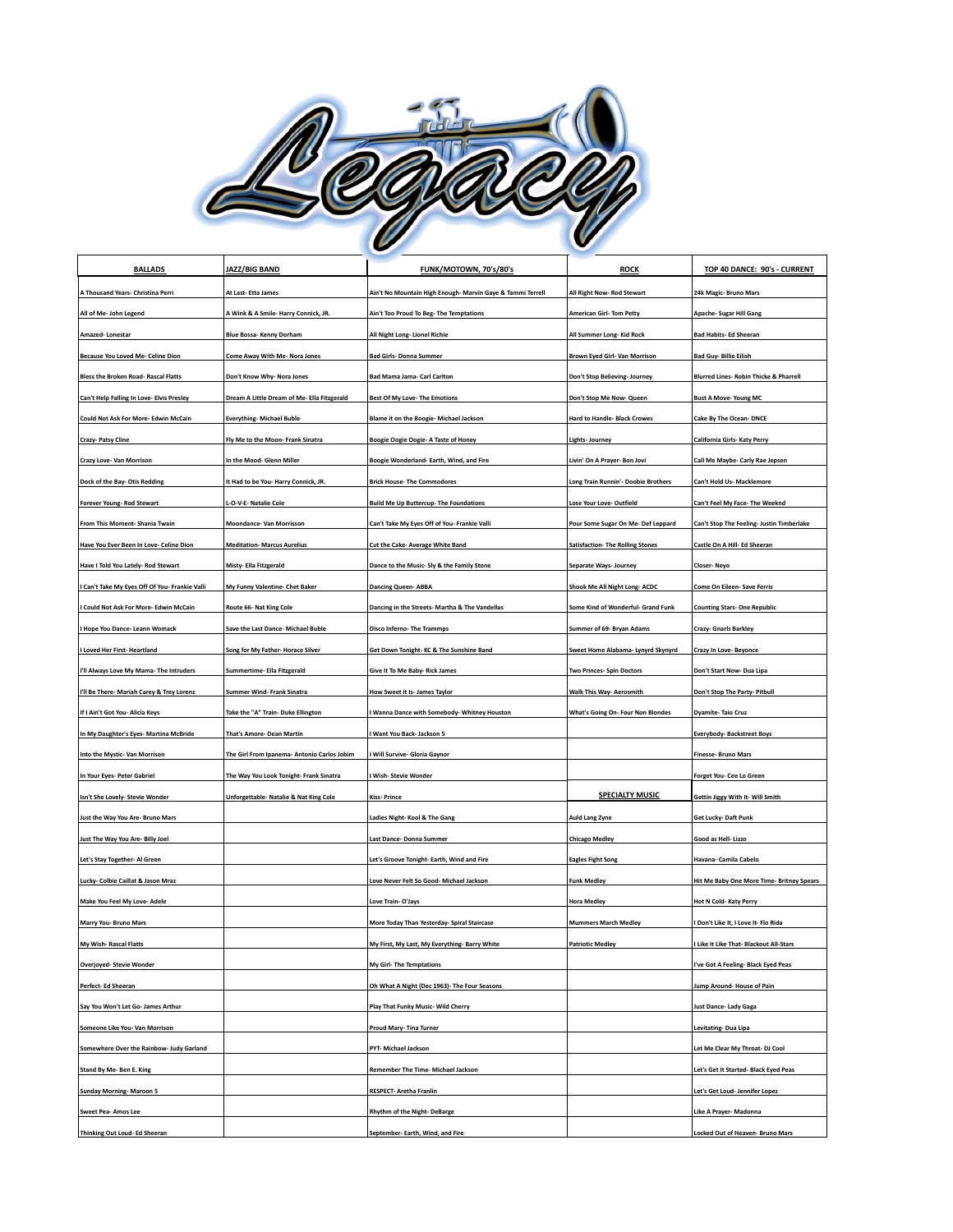

| <b>BALLADS</b>                                                      | JAZZ/BIG BAND                               | FUNK/MOTOWN, 70's/80's                                                 | <b>ROCK</b>                                    | TOP 40 DANCE: 90's - CURRENT                      |
|---------------------------------------------------------------------|---------------------------------------------|------------------------------------------------------------------------|------------------------------------------------|---------------------------------------------------|
| A Thousand Years- Christina Perri                                   | At Last-Etta James                          | Ain't No Mountain High Enough- Marvin Gaye & Tammi Terrell             | All Right Now-Rod Stewart                      | 24k Magic- Bruno Mars                             |
| All of Me- John Legend                                              | A Wink & A Smile-Harry Connick, JR.         | Ain't Too Proud To Beg- The Temptations                                | <b>American Girl-Tom Petty</b>                 | Apache- Sugar Hill Gang                           |
| Amazed-Lonestar                                                     | Blue Bossa- Kenny Dorham                    | All Night Long- Lionel Richie                                          | All Summer Long- Kid Rock                      | <b>Bad Habits- Ed Sheeran</b>                     |
| <b>Because You Loved Me- Celine Dion</b>                            | Come Away With Me- Nora Jones               | <b>Bad Girls- Donna Summer</b>                                         | Brown Eyed Girl- Van Morrison                  | <b>Bad Guy-Billie Eilish</b>                      |
| Bless the Broken Road- Rascal Flatts                                | Don't Know Why- Nora Jones                  | Bad Mama Jama- Carl Carlton                                            | Don't Stop Believing- Journey                  | <b>Blurred Lines- Robin Thicke &amp; Pharrell</b> |
| Can't Help Falling In Love- Elvis Presley                           | Dream A Little Dream of Me- Ella Fitzgerald | Best Of My Love- The Emotions                                          | Don't Stop Me Now-Queen                        | <b>Bust A Move-Young MC</b>                       |
| Could Not Ask For More- Edwin McCain                                | <b>Everything-Michael Buble</b>             | Blame it on the Boogie- Michael Jackson                                | <b>Hard to Handle- Black Crowes</b>            | Cake By The Ocean- DNCE                           |
| Crazy- Patsy Cline                                                  | Fly Me to the Moon- Frank Sinatra           | Boogie Oogie Oogie- A Taste of Honey                                   | Lights- Journey                                | California Girls- Katy Perry                      |
| Crazy Love- Van Morrison                                            | In the Mood- Glenn Miller                   | Boogie Wonderland- Earth, Wind, and Fire                               | Livin' On A Prayer- Bon Jovi                   | Call Me Maybe- Carly Rae Jepsen                   |
| Dock of the Bay- Otis Redding                                       | It Had to be You- Harry Connick, JR.        | <b>Brick House- The Commodores</b>                                     | Long Train Runnin'- Doobie Brothers            | Can't Hold Us- Macklemore                         |
| Forever Young-Rod Stewart                                           | L-O-V-E- Natalie Cole                       | <b>Build Me Up Buttercup- The Foundations</b>                          | Lose Your Love- Outfield                       | Can't Feel My Face- The Weeknd                    |
| From This Moment- Shania Twain                                      | Moondance- Van Morrisson                    | Can't Take My Eyes Off of You- Frankie Valli                           | Pour Some Sugar On Me- Def Leppard             | Can't Stop The Feeling- Justin Timberlake         |
| Have You Ever Been In Love- Celine Dion                             | <b>Meditation- Marcus Aurelius</b>          | Cut the Cake- Average White Band                                       | <b>Satisfaction- The Rolling Stones</b>        | Castle On A Hill- Ed Sheeran                      |
| Have I Told You Lately- Rod Stewart                                 | Misty- Ella Fitzgerald                      | Dance to the Music- Sly & the Family Stone                             | Separate Ways- Journey                         | <b>Closer-Neyo</b>                                |
| I Can't Take My Eyes Off Of You- Frankie Valli                      | My Funny Valentine- Chet Baker              | <b>Dancing Queen-ABBA</b>                                              | Shook Me All Night Long- ACDC                  | Come On Eileen- Save Ferris                       |
| I Could Not Ask For More- Edwin McCain                              | Route 66- Nat King Cole                     | Dancing in the Streets- Martha & The Vandellas                         | Some Kind of Wonderful- Grand Funk             | <b>Counting Stars- One Republic</b>               |
| I Hope You Dance- Leann Womack                                      | Save the Last Dance- Michael Buble          | Disco Inferno-The Trammps                                              | Summer of 69- Bryan Adams                      | Crazy- Gnarls Barkley                             |
| I Loved Her First-Heartland                                         | Song for My Father- Horace Silver           | Get Down Tonight-KC & The Sunshine Band                                | Sweet Home Alabama- Lynyrd Skynyrd             | Crazy In Love-Beyonce                             |
| I'll Always Love My Mama- The Intruders                             | Summertime- Ella Fitzgerald                 | Give It To Me Baby- Rick James                                         | Two Princes- Spin Doctors                      | Don't Start Now- Dua Lipa                         |
| I'll Be There- Mariah Carey & Trey Lorenz                           | Summer Wind- Frank Sinatra                  | How Sweet it Is-James Taylor                                           | Walk This Way- Aerosmith                       | Don't Stop The Party- Pitbull                     |
| If I Ain't Got You- Alicia Keys                                     | Take the "A" Train- Duke Ellington          | I Wanna Dance with Somebody- Whitney Houston                           | What's Going On- Four Non Blondes              | <b>Dyamite-Taio Cruz</b>                          |
| In My Daughter's Eyes- Martina McBride                              | That's Amore- Dean Martin                   | <b>I Want You Back- Jackson 5</b>                                      |                                                | <b>Everybody-Backstreet Boys</b>                  |
| Into the Mystic-Van Morrison                                        | The Girl From Ipanema- Antonio Carlos Jobim | I Will Survive- Gloria Gaynor                                          |                                                | <b>Finesse- Bruno Mars</b>                        |
| In Your Eyes- Peter Gabriel                                         | The Way You Look Tonight- Frank Sinatra     | I Wish- Stevie Wonder                                                  |                                                | Forget You- Cee Lo Green                          |
| Isn't She Lovely- Stevie Wonder                                     | Unforgettable- Natalie & Nat King Cole      | <b>Kiss-Prince</b>                                                     | <b>SPECIALTY MUSIC</b>                         | Gettin Jiggy With It- Will Smith                  |
| Just the Way You Are- Bruno Mars                                    |                                             | Ladies Night- Kool & The Gang                                          | <b>Auld Lang Zyne</b>                          | Get Lucky-Daft Punk                               |
| Just The Way You Are- Billy Joel                                    |                                             |                                                                        |                                                | Good as Hell- Lizzo                               |
|                                                                     |                                             | Last Dance- Donna Summer<br>Let's Groove Tonight- Earth, Wind and Fire | <b>Chicago Medley</b>                          | Havana- Camila Cabelo                             |
| Let's Stay Together- Al Green<br>Lucky- Colbie Caillat & Jason Mraz |                                             | Love Never Felt So Good- Michael Jackson                               | <b>Eagles Fight Song</b><br><b>Funk Medley</b> | Hit Me Baby One More Time- Britney Spears         |
|                                                                     |                                             |                                                                        |                                                |                                                   |
| Make You Feel My Love- Adele                                        |                                             | Love Train-O'Jays                                                      | <b>Hora Medley</b>                             | Hot N Cold- Katy Perry                            |
| Marry You- Bruno Mars                                               |                                             | More Today Than Yesterday- Spiral Staircase                            | <b>Mummers March Medley</b>                    | I Don't Like It, I Love It- Flo Rida              |
| My Wish- Rascal Flatts                                              |                                             | My First, My Last, My Everything- Barry White                          | <b>Patriotic Medley</b>                        | I Like It Like That- Blackout All-Stars           |
| <b>Overjoyed- Stevie Wonder</b>                                     |                                             | My Girl-The Temptations                                                |                                                | I've Got A Feeling- Black Eyed Peas               |
| Perfect- Ed Sheeran                                                 |                                             | Oh What A Night (Dec 1963)- The Four Seasons                           |                                                | Jump Around- House of Pain                        |
| Say You Won't Let Go- James Arthur                                  |                                             | Play That Funky Music- Wild Cherry                                     |                                                | Just Dance- Lady Gaga                             |
| Someone Like You- Van Morrison                                      |                                             | Proud Mary- Tina Turner                                                |                                                | Levitating-Dua Lipa                               |
| Somewhere Over the Rainbow- Judy Garland                            |                                             | PYT- Michael Jackson                                                   |                                                | Let Me Clear My Throat- DJ Cool                   |
| Stand By Me- Ben E. King                                            |                                             | Remember The Time- Michael Jackson                                     |                                                | Let's Get It Started- Black Eyed Peas             |
| Sunday Morning-Maroon 5                                             |                                             | RESPECT- Aretha Franlin                                                |                                                | Let's Get Loud- Jennifer Lopez                    |
| Sweet Pea- Amos Lee                                                 |                                             | Rhythm of the Night-DeBarge                                            |                                                | Like A Prayer- Madonna                            |
| Thinking Out Loud- Ed Sheeran                                       |                                             | September- Earth, Wind, and Fire                                       |                                                | Locked Out of Heaven- Bruno Mars                  |